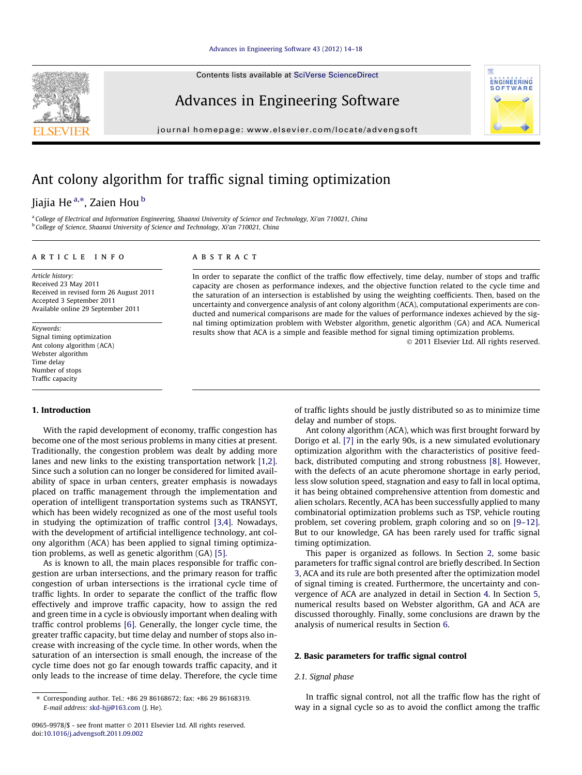Contents lists available at [SciVerse ScienceDirect](http://www.sciencedirect.com/science/journal/09659978)

### Advances in Engineering Software

journal homepage: [www.elsevier.com/locate/advengsoft](http://www.elsevier.com/locate/advengsoft)

## Ant colony algorithm for traffic signal timing optimization

### Jiajia He<sup>a,</sup>\*, Zaien Hou <sup>b</sup>

a College of Electrical and Information Engineering, Shaanxi University of Science and Technology, Xi'an 710021, China <sup>b</sup> College of Science, Shaanxi University of Science and Technology, Xi'an 710021, China

#### article info

#### **ABSTRACT**

Article history: Received 23 May 2011 Received in revised form 26 August 2011 Accepted 3 September 2011 Available online 29 September 2011

Keywords: Signal timing optimization Ant colony algorithm (ACA) Webster algorithm Time delay Number of stops Traffic capacity

#### 1. Introduction

With the rapid development of economy, traffic congestion has become one of the most serious problems in many cities at present. Traditionally, the congestion problem was dealt by adding more lanes and new links to the existing transportation network [\[1,2\].](#page--1-0) Since such a solution can no longer be considered for limited availability of space in urban centers, greater emphasis is nowadays placed on traffic management through the implementation and operation of intelligent transportation systems such as TRANSYT, which has been widely recognized as one of the most useful tools in studying the optimization of traffic control [\[3,4\].](#page--1-0) Nowadays, with the development of artificial intelligence technology, ant colony algorithm (ACA) has been applied to signal timing optimization problems, as well as genetic algorithm (GA) [\[5\].](#page--1-0)

As is known to all, the main places responsible for traffic congestion are urban intersections, and the primary reason for traffic congestion of urban intersections is the irrational cycle time of traffic lights. In order to separate the conflict of the traffic flow effectively and improve traffic capacity, how to assign the red and green time in a cycle is obviously important when dealing with traffic control problems [\[6\].](#page--1-0) Generally, the longer cycle time, the greater traffic capacity, but time delay and number of stops also increase with increasing of the cycle time. In other words, when the saturation of an intersection is small enough, the increase of the cycle time does not go far enough towards traffic capacity, and it only leads to the increase of time delay. Therefore, the cycle time

capacity are chosen as performance indexes, and the objective function related to the cycle time and the saturation of an intersection is established by using the weighting coefficients. Then, based on the uncertainty and convergence analysis of ant colony algorithm (ACA), computational experiments are conducted and numerical comparisons are made for the values of performance indexes achieved by the signal timing optimization problem with Webster algorithm, genetic algorithm (GA) and ACA. Numerical results show that ACA is a simple and feasible method for signal timing optimization problems. - 2011 Elsevier Ltd. All rights reserved.

In order to separate the conflict of the traffic flow effectively, time delay, number of stops and traffic

of traffic lights should be justly distributed so as to minimize time delay and number of stops.

**ENGINEERING** SOFTWARE

Ant colony algorithm (ACA), which was first brought forward by Dorigo et al. [\[7\]](#page--1-0) in the early 90s, is a new simulated evolutionary optimization algorithm with the characteristics of positive feedback, distributed computing and strong robustness [\[8\].](#page--1-0) However, with the defects of an acute pheromone shortage in early period, less slow solution speed, stagnation and easy to fall in local optima, it has being obtained comprehensive attention from domestic and alien scholars. Recently, ACA has been successfully applied to many combinatorial optimization problems such as TSP, vehicle routing problem, set covering problem, graph coloring and so on [\[9–12\].](#page--1-0) But to our knowledge, GA has been rarely used for traffic signal timing optimization.

This paper is organized as follows. In Section 2, some basic parameters for traffic signal control are briefly described. In Section [3](#page-1-0), ACA and its rule are both presented after the optimization model of signal timing is created. Furthermore, the uncertainty and convergence of ACA are analyzed in detail in Section [4.](#page--1-0) In Section [5,](#page--1-0) numerical results based on Webster algorithm, GA and ACA are discussed thoroughly. Finally, some conclusions are drawn by the analysis of numerical results in Section [6](#page--1-0).

#### 2. Basic parameters for traffic signal control

#### 2.1. Signal phase

In traffic signal control, not all the traffic flow has the right of way in a signal cycle so as to avoid the conflict among the traffic



<sup>⇑</sup> Corresponding author. Tel.: +86 29 86168672; fax: +86 29 86168319. E-mail address: [skd-hjj@163.com](mailto:skd-hjj@163.com) (J. He).

<sup>0965-9978/\$ -</sup> see front matter © 2011 Elsevier Ltd. All rights reserved. doi:[10.1016/j.advengsoft.2011.09.002](http://dx.doi.org/10.1016/j.advengsoft.2011.09.002)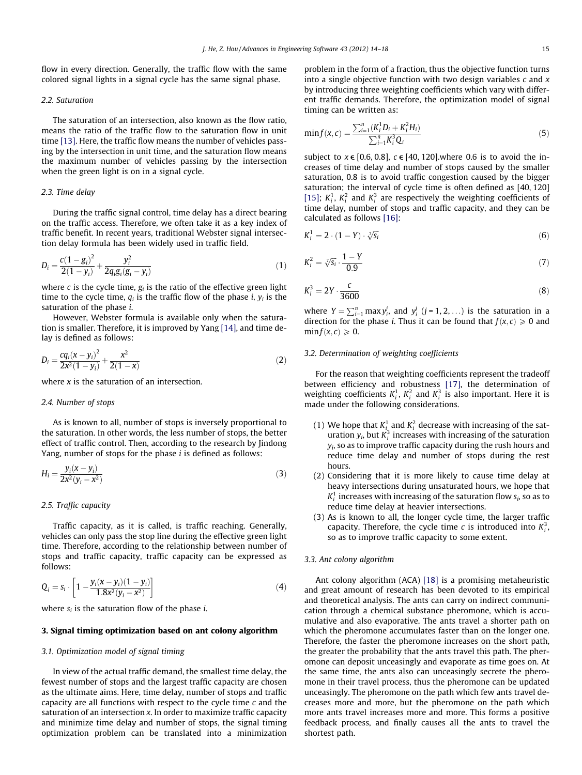<span id="page-1-0"></span>flow in every direction. Generally, the traffic flow with the same colored signal lights in a signal cycle has the same signal phase.

#### 2.2. Saturation

The saturation of an intersection, also known as the flow ratio, means the ratio of the traffic flow to the saturation flow in unit time [\[13\]](#page--1-0). Here, the traffic flow means the number of vehicles passing by the intersection in unit time, and the saturation flow means the maximum number of vehicles passing by the intersection when the green light is on in a signal cycle.

#### 2.3. Time delay

During the traffic signal control, time delay has a direct bearing on the traffic access. Therefore, we often take it as a key index of traffic benefit. In recent years, traditional Webster signal intersection delay formula has been widely used in traffic field.

$$
D_i = \frac{c(1 - g_i)^2}{2(1 - y_i)} + \frac{y_i^2}{2q_i g_i (g_i - y_i)}
$$
(1)

where c is the cycle time,  $g_i$  is the ratio of the effective green light time to the cycle time,  $q_i$  is the traffic flow of the phase i,  $y_i$  is the saturation of the phase i.

However, Webster formula is available only when the saturation is smaller. Therefore, it is improved by Yang [\[14\],](#page--1-0) and time delay is defined as follows:

$$
D_i = \frac{cq_i(x - y_i)^2}{2x^2(1 - y_i)} + \frac{x^2}{2(1 - x)}
$$
\n(2)

where  $x$  is the saturation of an intersection.

#### 2.4. Number of stops

As is known to all, number of stops is inversely proportional to the saturation. In other words, the less number of stops, the better effect of traffic control. Then, according to the research by Jindong Yang, number of stops for the phase  $i$  is defined as follows:

$$
H_i = \frac{y_i(x - y_i)}{2x^2(y_i - x^2)}
$$
 (3)

#### 2.5. Traffic capacity

Traffic capacity, as it is called, is traffic reaching. Generally, vehicles can only pass the stop line during the effective green light time. Therefore, according to the relationship between number of stops and traffic capacity, traffic capacity can be expressed as follows:

$$
Q_i = s_i \cdot \left[ 1 - \frac{y_i(x - y_i)(1 - y_i)}{1.8x^2(y_i - x^2)} \right]
$$
 (4)

where  $s_i$  is the saturation flow of the phase *i*.

#### 3. Signal timing optimization based on ant colony algorithm

#### 3.1. Optimization model of signal timing

In view of the actual traffic demand, the smallest time delay, the fewest number of stops and the largest traffic capacity are chosen as the ultimate aims. Here, time delay, number of stops and traffic capacity are all functions with respect to the cycle time c and the saturation of an intersection x. In order to maximize traffic capacity and minimize time delay and number of stops, the signal timing optimization problem can be translated into a minimization problem in the form of a fraction, thus the objective function turns into a single objective function with two design variables  $c$  and  $x$ by introducing three weighting coefficients which vary with different traffic demands. Therefore, the optimization model of signal timing can be written as:

$$
\min f(x, c) = \frac{\sum_{i=1}^{n} (K_i^1 D_i + K_i^2 H_i)}{\sum_{i=1}^{n} K_i^3 Q_i}
$$
(5)

subject to  $x \in [0.6, 0.8]$ ,  $c \in [40, 120]$ , where 0.6 is to avoid the increases of time delay and number of stops caused by the smaller saturation, 0.8 is to avoid traffic congestion caused by the bigger saturation; the interval of cycle time is often defined as [40, 120] [\[15\];](#page--1-0)  $K_i^1$ ,  $K_i^2$  and  $K_i^3$  are respectively the weighting coefficients of time delay, number of stops and traffic capacity, and they can be calculated as follows [\[16\]:](#page--1-0)

$$
K_i^1 = 2 \cdot (1 - Y) \cdot \sqrt[3]{S_i} \tag{6}
$$

$$
K_i^2 = \sqrt[7]{s_i} \cdot \frac{1 - Y}{0.9} \tag{7}
$$

$$
K_i^3 = 2Y \cdot \frac{c}{3600} \tag{8}
$$

where  $Y = \sum_{i=1}^{n} \max y_i^j$ , and  $y_i^j$   $(j = 1, 2, ...)$  is the saturation in a direction for the phase *i*. Thus it can be found that  $f(x, c) \ge 0$  and  $\min f(x, c) \geqslant 0$ .

#### 3.2. Determination of weighting coefficients

For the reason that weighting coefficients represent the tradeoff between efficiency and robustness [\[17\]](#page--1-0), the determination of weighting coefficients  $K_i^1$ ,  $K_i^2$  and  $K_i^3$  is also important. Here it is made under the following considerations.

- (1) We hope that  $K_i^1$  and  $K_i^2$  decrease with increasing of the saturation  $y_i$ , but  $K_i^3$  increases with increasing of the saturation  $y_i$ , so as to improve traffic capacity during the rush hours and reduce time delay and number of stops during the rest hours.
- (2) Considering that it is more likely to cause time delay at heavy intersections during unsaturated hours, we hope that  $K_i^1$  increases with increasing of the saturation flow  $s_i$ , so as to reduce time delay at heavier intersections.
- (3) As is known to all, the longer cycle time, the larger traffic capacity. Therefore, the cycle time c is introduced into  $K_i^3$ , so as to improve traffic capacity to some extent.

#### 3.3. Ant colony algorithm

Ant colony algorithm (ACA) [\[18\]](#page--1-0) is a promising metaheuristic and great amount of research has been devoted to its empirical and theoretical analysis. The ants can carry on indirect communication through a chemical substance pheromone, which is accumulative and also evaporative. The ants travel a shorter path on which the pheromone accumulates faster than on the longer one. Therefore, the faster the pheromone increases on the short path, the greater the probability that the ants travel this path. The pheromone can deposit unceasingly and evaporate as time goes on. At the same time, the ants also can unceasingly secrete the pheromone in their travel process, thus the pheromone can be updated unceasingly. The pheromone on the path which few ants travel decreases more and more, but the pheromone on the path which more ants travel increases more and more. This forms a positive feedback process, and finally causes all the ants to travel the shortest path.